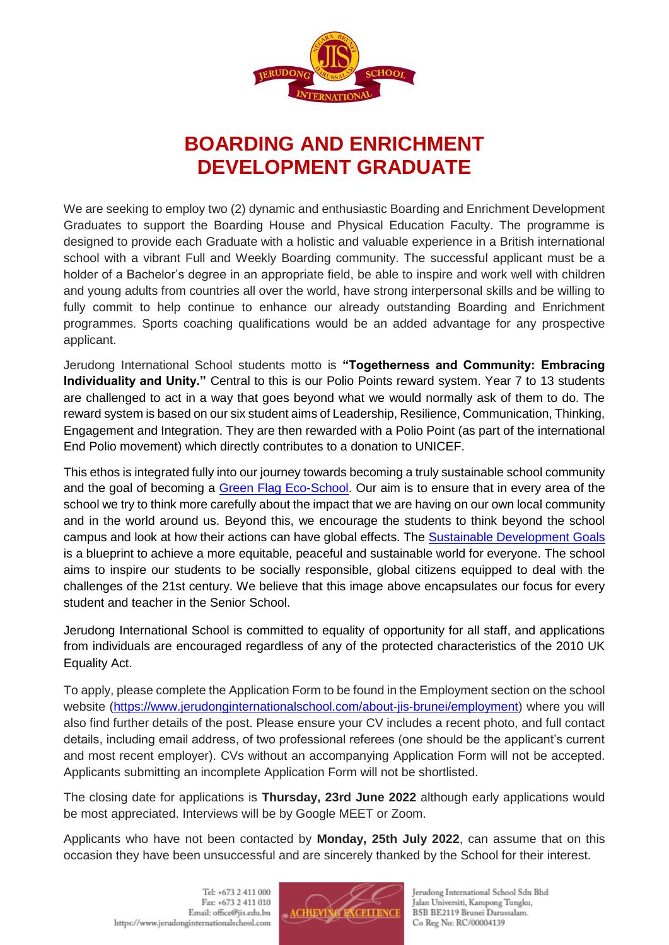

# **BOARDING AND ENRICHMENT DEVELOPMENT GRADUATE**

We are seeking to employ two (2) dynamic and enthusiastic Boarding and Enrichment Development Graduates to support the Boarding House and Physical Education Faculty. The programme is designed to provide each Graduate with a holistic and valuable experience in a British international school with a vibrant Full and Weekly Boarding community. The successful applicant must be a holder of a Bachelor's degree in an appropriate field, be able to inspire and work well with children and young adults from countries all over the world, have strong interpersonal skills and be willing to fully commit to help continue to enhance our already outstanding Boarding and Enrichment programmes. Sports coaching qualifications would be an added advantage for any prospective applicant.

Jerudong International School students motto is **"Togetherness and Community: Embracing Individuality and Unity."** Central to this is our Polio Points reward system. Year 7 to 13 students are challenged to act in a way that goes beyond what we would normally ask of them to do. The reward system is based on our six student aims of Leadership, Resilience, Communication, Thinking, Engagement and Integration. They are then rewarded with a Polio Point (as part of the international End Polio movement) which directly contributes to a donation to UNICEF.

This ethos is integrated fully into our journey towards becoming a truly sustainable school community and the goal of becoming a [Green Flag Eco-School.](https://www.eco-schools.org.uk/about/eco-schools-green-flag-other-awards/) Our aim is to ensure that in every area of the school we try to think more carefully about the impact that we are having on our own local community and in the world around us. Beyond this, we encourage the students to think beyond the school campus and look at how their actions can have global effects. The [Sustainable Development Goals](https://sdgs.un.org/goals) is a blueprint to achieve a more equitable, peaceful and sustainable world for everyone. The school aims to inspire our students to be socially responsible, global citizens equipped to deal with the challenges of the 21st century. We believe that this image above encapsulates our focus for every student and teacher in the Senior School.

Jerudong International School is committed to equality of opportunity for all staff, and applications from individuals are encouraged regardless of any of the protected characteristics of the 2010 UK Equality Act.

To apply, please complete the Application Form to be found in the Employment section on the school website [\(https://www.jerudonginternationalschool.com/about-jis-brunei/employment\)](https://www.jerudonginternationalschool.com/about-jis-brunei/employment) where you will also find further details of the post. Please ensure your CV includes a recent photo, and full contact details, including email address, of two professional referees (one should be the applicant's current and most recent employer). CVs without an accompanying Application Form will not be accepted. Applicants submitting an incomplete Application Form will not be shortlisted.

The closing date for applications is **Thursday, 23rd June 2022** although early applications would be most appreciated. Interviews will be by Google MEET or Zoom.

Applicants who have not been contacted by **Monday, 25th July 2022**, can assume that on this occasion they have been unsuccessful and are sincerely thanked by the School for their interest.



Jerudong International School Sdn Bhd Jalan Universiti, Kampong Tungku, BSB BE2119 Brunei Darussalam. Co Reg No: RC/00004139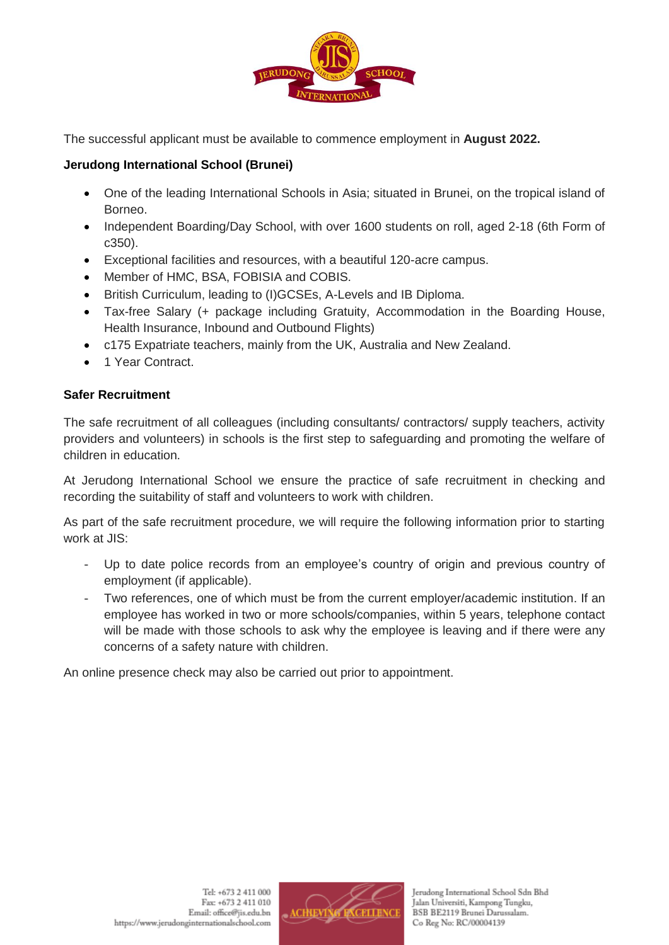

The successful applicant must be available to commence employment in **August 2022.**

## **Jerudong International School (Brunei)**

- One of the leading International Schools in Asia; situated in Brunei, on the tropical island of Borneo.
- Independent Boarding/Day School, with over 1600 students on roll, aged 2-18 (6th Form of c350).
- Exceptional facilities and resources, with a beautiful 120-acre campus.
- Member of HMC, BSA, FOBISIA and COBIS.
- British Curriculum, leading to (I)GCSEs, A-Levels and IB Diploma.
- Tax-free Salary (+ package including Gratuity, Accommodation in the Boarding House, Health Insurance, Inbound and Outbound Flights)
- c175 Expatriate teachers, mainly from the UK, Australia and New Zealand.
- 1 Year Contract.

## **Safer Recruitment**

The safe recruitment of all colleagues (including consultants/ contractors/ supply teachers, activity providers and volunteers) in schools is the first step to safeguarding and promoting the welfare of children in education.

At Jerudong International School we ensure the practice of safe recruitment in checking and recording the suitability of staff and volunteers to work with children.

As part of the safe recruitment procedure, we will require the following information prior to starting work at JIS:

- Up to date police records from an employee's country of origin and previous country of employment (if applicable).
- Two references, one of which must be from the current employer/academic institution. If an employee has worked in two or more schools/companies, within 5 years, telephone contact will be made with those schools to ask why the employee is leaving and if there were any concerns of a safety nature with children.

An online presence check may also be carried out prior to appointment.

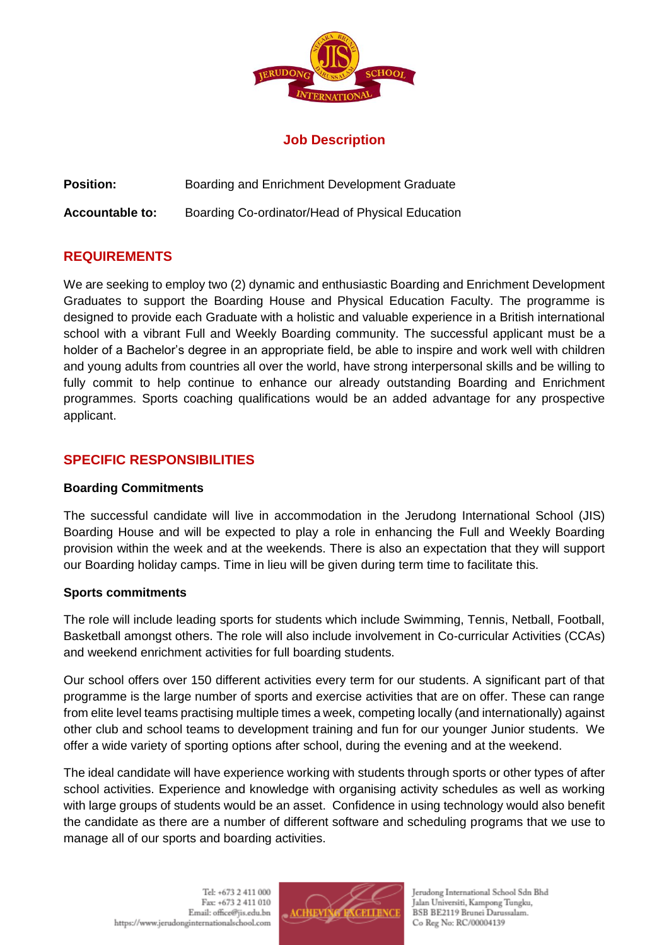

## **Job Description**

**Position:** Boarding and Enrichment Development Graduate

**Accountable to:** Boarding Co-ordinator/Head of Physical Education

# **REQUIREMENTS**

We are seeking to employ two (2) dynamic and enthusiastic Boarding and Enrichment Development Graduates to support the Boarding House and Physical Education Faculty. The programme is designed to provide each Graduate with a holistic and valuable experience in a British international school with a vibrant Full and Weekly Boarding community. The successful applicant must be a holder of a Bachelor's degree in an appropriate field, be able to inspire and work well with children and young adults from countries all over the world, have strong interpersonal skills and be willing to fully commit to help continue to enhance our already outstanding Boarding and Enrichment programmes. Sports coaching qualifications would be an added advantage for any prospective applicant.

# **SPECIFIC RESPONSIBILITIES**

## **Boarding Commitments**

The successful candidate will live in accommodation in the Jerudong International School (JIS) Boarding House and will be expected to play a role in enhancing the Full and Weekly Boarding provision within the week and at the weekends. There is also an expectation that they will support our Boarding holiday camps. Time in lieu will be given during term time to facilitate this.

## **Sports commitments**

The role will include leading sports for students which include Swimming, Tennis, Netball, Football, Basketball amongst others. The role will also include involvement in Co-curricular Activities (CCAs) and weekend enrichment activities for full boarding students.

Our school offers over 150 different activities every term for our students. A significant part of that programme is the large number of sports and exercise activities that are on offer. These can range from elite level teams practising multiple times a week, competing locally (and internationally) against other club and school teams to development training and fun for our younger Junior students. We offer a wide variety of sporting options after school, during the evening and at the weekend.

The ideal candidate will have experience working with students through sports or other types of after school activities. Experience and knowledge with organising activity schedules as well as working with large groups of students would be an asset. Confidence in using technology would also benefit the candidate as there are a number of different software and scheduling programs that we use to manage all of our sports and boarding activities.



Jerudong International School Sdn Bhd Jalan Universiti, Kampong Tungku, BSB BE2119 Brunei Darussalam. Co Reg No: RC/00004139